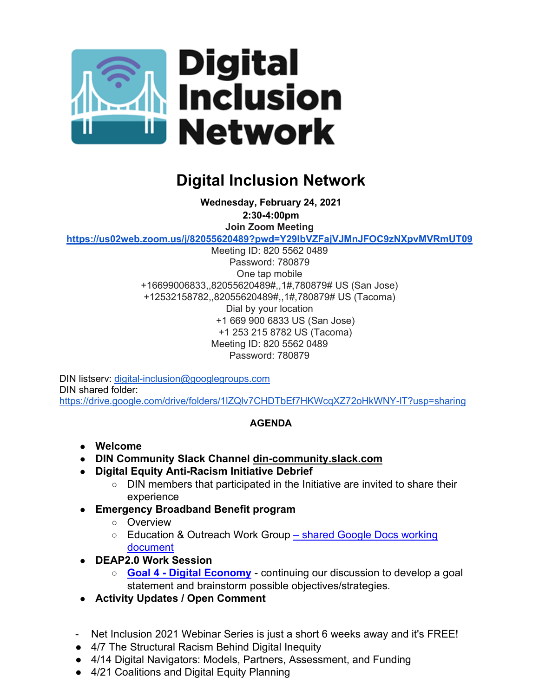

## **Digital Inclusion Network**

**Wednesday, February 24, 2021 2:30-4:00pm Join Zoom Meeting <https://us02web.zoom.us/j/82055620489?pwd=Y29IbVZFajVJMnJFOC9zNXpvMVRmUT09>**

Meeting ID: 820 5562 0489 Password: 780879 One tap mobile +16699006833,,82055620489#,,1#,780879# US (San Jose) +12532158782,,82055620489#,,1#,780879# US (Tacoma) Dial by your location +1 669 900 6833 US (San Jose) +1 253 215 8782 US (Tacoma) Meeting ID: 820 5562 0489 Password: 780879

DIN listserv: [digital-inclusion@googlegroups.com](mailto:digital-inclusion@googlegroups.com) DIN shared folder: <https://drive.google.com/drive/folders/1lZQlv7CHDTbEf7HKWcqXZ72oHkWNY-lT?usp=sharing>

## **AGENDA**

- **Welcome**
- **DIN Community Slack Channel [din-community.slack.com](http://din-community.slack.com/)**
- **Digital Equity Anti-Racism Initiative Debrief**
	- DIN members that participated in the Initiative are invited to share their experience
- **Emergency Broadband Benefit program**
	- Overview
	- Education & Outreach Work Group shared Google Docs working [document](https://docs.google.com/document/d/1Vdj4ZWQQi98VWWax7DNhJbWqysxsHUfHoh2zPHxaoBU/edit?usp=sharing)
- **DEAP2.0 Work Session** 
	- **Goal 4 - [Digital Economy](https://docs.google.com/document/d/1dLLlu3DdaLqi4z9mc3bPfQAFujG9mfin005luZOJ5uk/edit?usp=sharing)** continuing our discussion to develop a goal statement and brainstorm possible objectives/strategies.
- **Activity Updates / Open Comment**
- Net Inclusion 2021 Webinar Series is just a short 6 weeks away and it's FREE!
- 4/7 The Structural Racism Behind Digital Inequity
- 4/14 Digital Navigators: Models, Partners, Assessment, and Funding
- 4/21 Coalitions and Digital Equity Planning